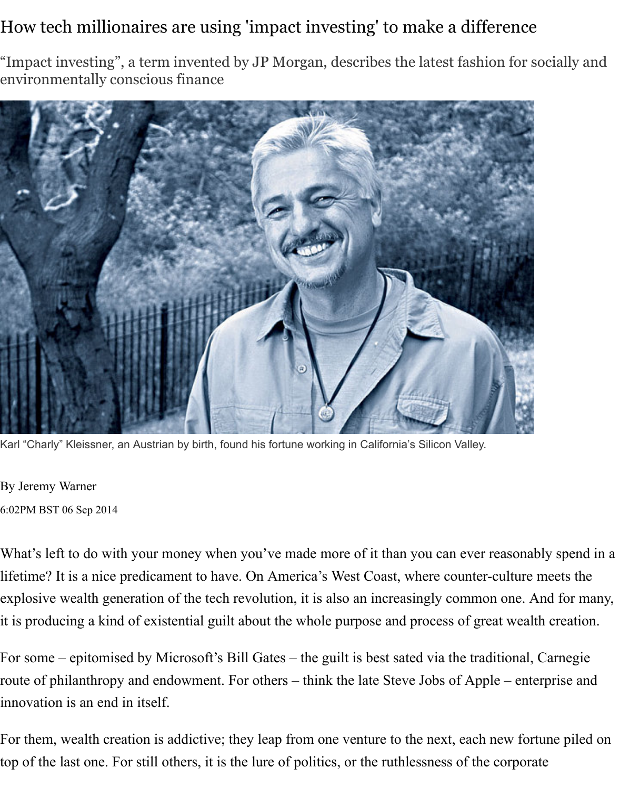

Karl "Charly" Kleissner, an Austrian by birth, found his fortune working in California's Silicon Valley.

By Jeremy Warner 6:02PM BST 06 Sep 2014

What's left to do with your money when you've made more of it than you can ever reason lifetime? It is a nice predicament to have. On America's West Coast, where counter-culture ex[plosive wealth](http://www.telegraph.co.uk/finance/comment/jeremy-warner/) generation of the tech revolution, it is also an increasingly common one. it is producing a kind of existential guilt about the whole purpose and process of great wea

For some – epitomised by Microsoft's Bill Gates – the guilt is best sated via the traditional route of philanthropy and endowment. For others – think the late Steve Jobs of Apple – en innovation is an end in itself.

For them, wealth creation is addictive; they leap from one venture to the next, each new for top of the last one. For still others, it is the lure of politics, or the ruthlessness of the corpo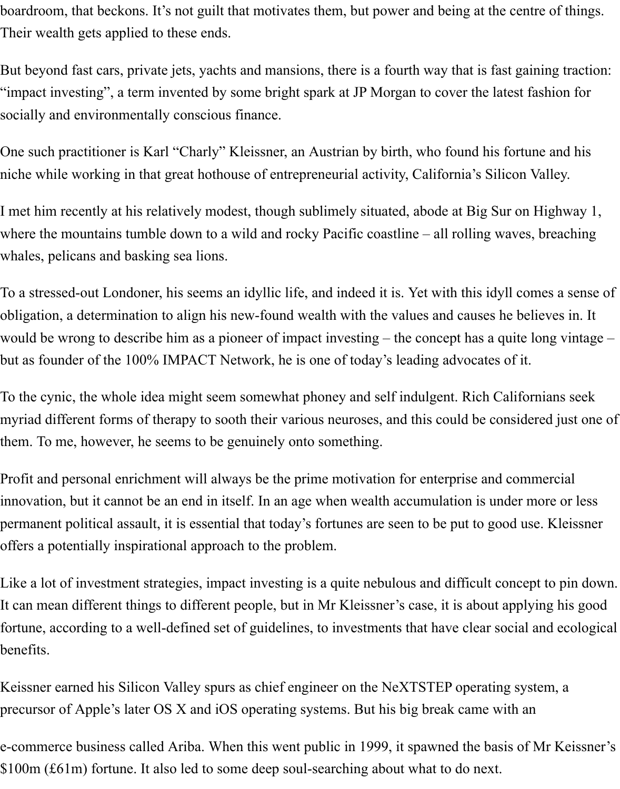boardroom, that beckons. It's not guilt that motivates them, but power and being at the centre of things. Their wealth gets applied to these ends.

But beyond fast cars, private jets, yachts and mansions, there is a fourth way that is fast gaining traction: "impact investing", a term invented by some bright spark at JP Morgan to cover the latest fashion for socially and environmentally conscious finance.

One such practitioner is Karl "Charly" Kleissner, an Austrian by birth, who found his fortune and his niche while working in that great hothouse of entrepreneurial activity, California's Silicon Valley.

I met him recently at his relatively modest, though sublimely situated, abode at Big Sur on Highway 1, where the mountains tumble down to a wild and rocky Pacific coastline – all rolling waves, breaching whales, pelicans and basking sea lions.

To a stressed-out Londoner, his seems an idyllic life, and indeed it is. Yet with this idyll comes a sense of obligation, a determination to align his new-found wealth with the values and causes he believes in. It would be wrong to describe him as a pioneer of impact investing – the concept has a quite long vintage – but as founder of the 100% IMPACT Network, he is one of today's leading advocates of it.

To the cynic, the whole idea might seem somewhat phoney and self indulgent. Rich Californians seek myriad different forms of therapy to sooth their various neuroses, and this could be considered just one of them. To me, however, he seems to be genuinely onto something.

Profit and personal enrichment will always be the prime motivation for enterprise and commercial innovation, but it cannot be an end in itself. In an age when wealth accumulation is under more or less permanent political assault, it is essential that today's fortunes are seen to be put to good use. Kleissner offers a potentially inspirational approach to the problem.

Like a lot of investment strategies, impact investing is a quite nebulous and difficult concept to pin down. It can mean different things to different people, but in Mr Kleissner's case, it is about applying his good fortune, according to a well-defined set of guidelines, to investments that have clear social and ecological benefits.

Keissner earned his Silicon Valley spurs as chief engineer on the NeXTSTEP operating system, a precursor of Apple's later OS X and iOS operating systems. But his big break came with an

e-commerce business called Ariba. When this went public in 1999, it spawned the basis of Mr Keissner's \$100m (£61m) fortune. It also led to some deep soul-searching about what to do next.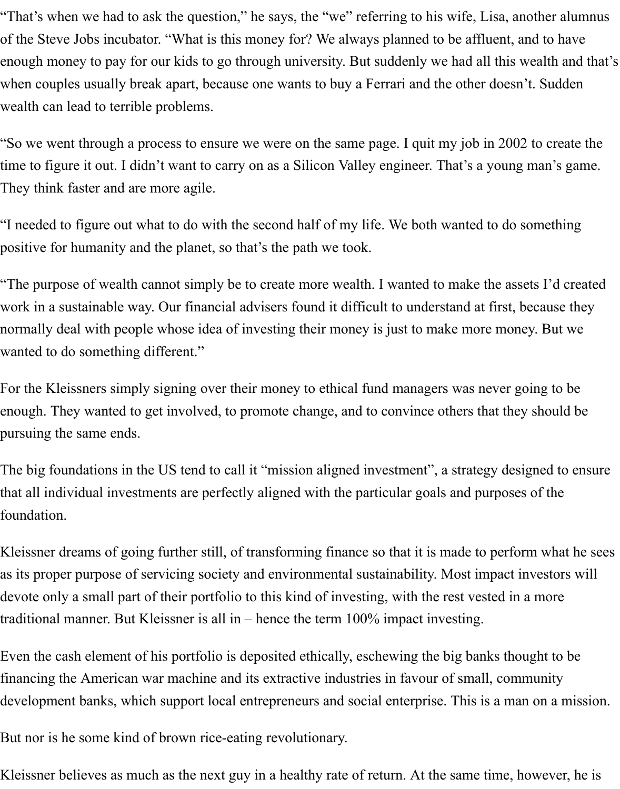"That's when we had to ask the question," he says, the "we" referring to his wife, Lisa, another alumnus of the Steve Jobs incubator. "What is this money for? We always planned to be affluent, and to have enough money to pay for our kids to go through university. But suddenly we had all this wealth and that's when couples usually break apart, because one wants to buy a Ferrari and the other doesn't. Sudden wealth can lead to terrible problems.

"So we went through a process to ensure we were on the same page. I quit my job in 2002 to create the time to figure it out. I didn't want to carry on as a Silicon Valley engineer. That's a young man's game. They think faster and are more agile.

"I needed to figure out what to do with the second half of my life. We both wanted to do something positive for humanity and the planet, so that's the path we took.

"The purpose of wealth cannot simply be to create more wealth. I wanted to make the assets I'd created work in a sustainable way. Our financial advisers found it difficult to understand at first, because they normally deal with people whose idea of investing their money is just to make more money. But we wanted to do something different."

For the Kleissners simply signing over their money to ethical fund managers was never going to be enough. They wanted to get involved, to promote change, and to convince others that they should be pursuing the same ends.

The big foundations in the US tend to call it "mission aligned investment", a strategy designed to ensure that all individual investments are perfectly aligned with the particular goals and purposes of the foundation.

Kleissner dreams of going further still, of transforming finance so that it is made to perform what he sees as its proper purpose of servicing society and environmental sustainability. Most impact investors will devote only a small part of their portfolio to this kind of investing, with the rest vested in a more traditional manner. But Kleissner is all in – hence the term 100% impact investing.

Even the cash element of his portfolio is deposited ethically, eschewing the big banks thought to be financing the American war machine and its extractive industries in favour of small, community development banks, which support local entrepreneurs and social enterprise. This is a man on a mission.

But nor is he some kind of brown rice-eating revolutionary.

Kleissner believes as much as the next guy in a healthy rate of return. At the same time, however, he is